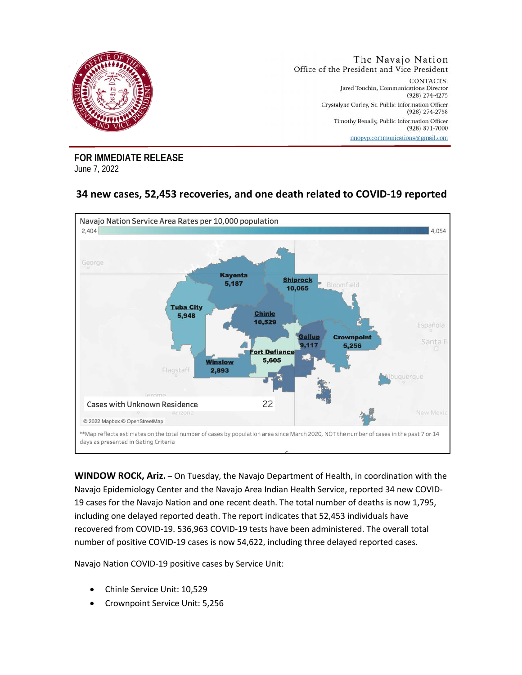

**FOR IMMEDIATE RELEASE**  June 7, 2022

## **34 new cases, 52,453 recoveries, and one death related to COVID-19 reported**



**WINDOW ROCK, Ariz.** – On Tuesday, the Navajo Department of Health, in coordination with the Navajo Epidemiology Center and the Navajo Area Indian Health Service, reported 34 new COVID-19 cases for the Navajo Nation and one recent death. The total number of deaths is now 1,795, including one delayed reported death. The report indicates that 52,453 individuals have recovered from COVID-19. 536,963 COVID-19 tests have been administered. The overall total number of positive COVID-19 cases is now 54,622, including three delayed reported cases.

Navajo Nation COVID-19 positive cases by Service Unit:

- Chinle Service Unit: 10,529
- Crownpoint Service Unit: 5,256